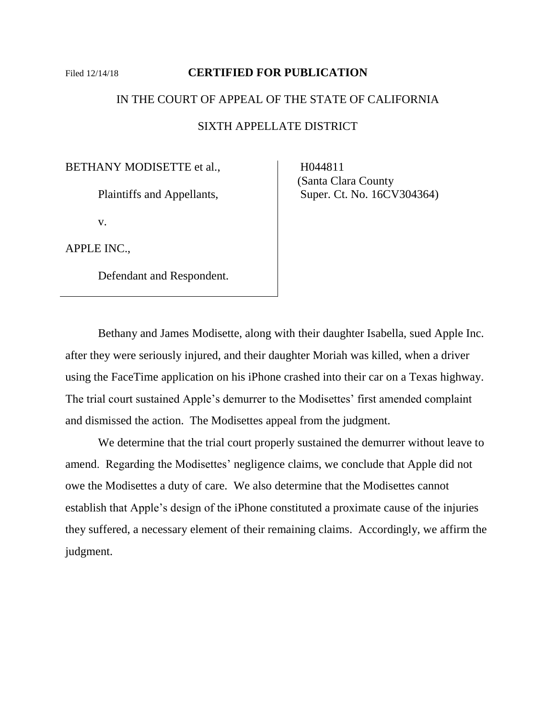# Filed 12/14/18 **CERTIFIED FOR PUBLICATION**

## IN THE COURT OF APPEAL OF THE STATE OF CALIFORNIA

SIXTH APPELLATE DISTRICT

BETHANY MODISETTE et al.,

Plaintiffs and Appellants,

v.

APPLE INC.,

Defendant and Respondent.

 H044811 (Santa Clara County Super. Ct. No. 16CV304364)

Bethany and James Modisette, along with their daughter Isabella, sued Apple Inc. after they were seriously injured, and their daughter Moriah was killed, when a driver using the FaceTime application on his iPhone crashed into their car on a Texas highway. The trial court sustained Apple's demurrer to the Modisettes' first amended complaint and dismissed the action. The Modisettes appeal from the judgment.

We determine that the trial court properly sustained the demurrer without leave to amend. Regarding the Modisettes' negligence claims, we conclude that Apple did not owe the Modisettes a duty of care. We also determine that the Modisettes cannot establish that Apple's design of the iPhone constituted a proximate cause of the injuries they suffered, a necessary element of their remaining claims. Accordingly, we affirm the judgment.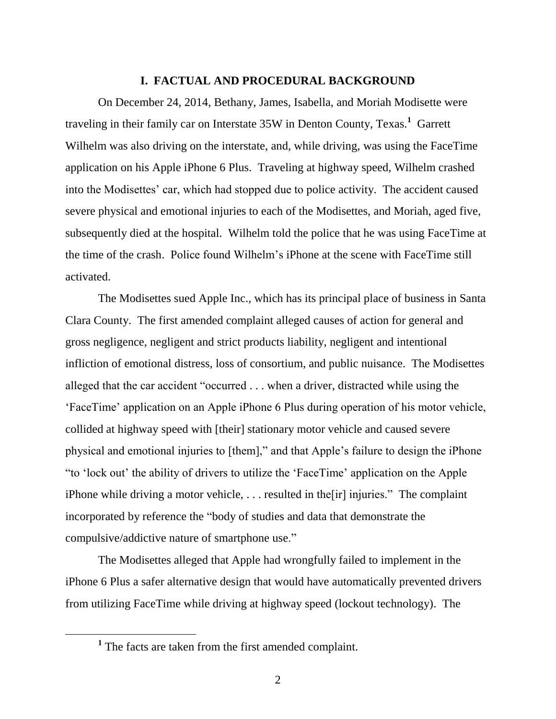## **I. FACTUAL AND PROCEDURAL BACKGROUND**

On December 24, 2014, Bethany, James, Isabella, and Moriah Modisette were traveling in their family car on Interstate 35W in Denton County, Texas.**<sup>1</sup>** Garrett Wilhelm was also driving on the interstate, and, while driving, was using the FaceTime application on his Apple iPhone 6 Plus. Traveling at highway speed, Wilhelm crashed into the Modisettes' car, which had stopped due to police activity. The accident caused severe physical and emotional injuries to each of the Modisettes, and Moriah, aged five, subsequently died at the hospital. Wilhelm told the police that he was using FaceTime at the time of the crash. Police found Wilhelm's iPhone at the scene with FaceTime still activated.

The Modisettes sued Apple Inc., which has its principal place of business in Santa Clara County. The first amended complaint alleged causes of action for general and gross negligence, negligent and strict products liability, negligent and intentional infliction of emotional distress, loss of consortium, and public nuisance. The Modisettes alleged that the car accident "occurred . . . when a driver, distracted while using the 'FaceTime' application on an Apple iPhone 6 Plus during operation of his motor vehicle, collided at highway speed with [their] stationary motor vehicle and caused severe physical and emotional injuries to [them]," and that Apple's failure to design the iPhone "to 'lock out' the ability of drivers to utilize the 'FaceTime' application on the Apple iPhone while driving a motor vehicle, . . . resulted in the[ir] injuries." The complaint incorporated by reference the "body of studies and data that demonstrate the compulsive/addictive nature of smartphone use."

The Modisettes alleged that Apple had wrongfully failed to implement in the iPhone 6 Plus a safer alternative design that would have automatically prevented drivers from utilizing FaceTime while driving at highway speed (lockout technology). The

 $\overline{a}$ 

**<sup>1</sup>** The facts are taken from the first amended complaint.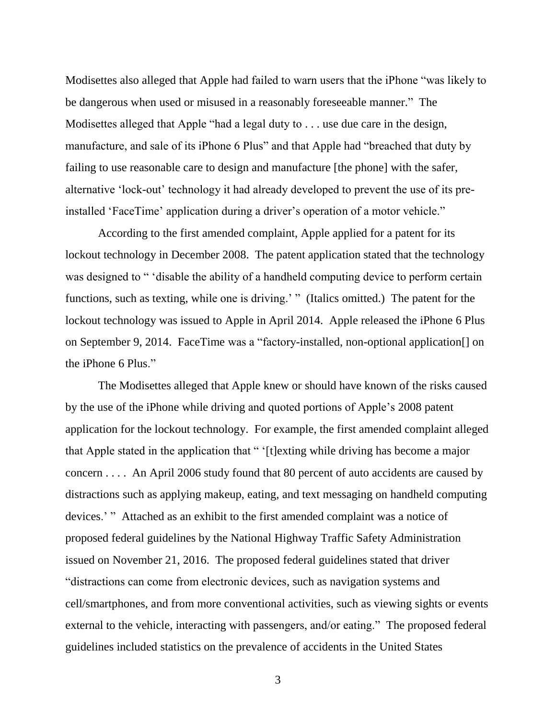Modisettes also alleged that Apple had failed to warn users that the iPhone "was likely to be dangerous when used or misused in a reasonably foreseeable manner." The Modisettes alleged that Apple "had a legal duty to . . . use due care in the design, manufacture, and sale of its iPhone 6 Plus" and that Apple had "breached that duty by failing to use reasonable care to design and manufacture [the phone] with the safer, alternative 'lock-out' technology it had already developed to prevent the use of its preinstalled 'FaceTime' application during a driver's operation of a motor vehicle."

According to the first amended complaint, Apple applied for a patent for its lockout technology in December 2008. The patent application stated that the technology was designed to " 'disable the ability of a handheld computing device to perform certain functions, such as texting, while one is driving.' " (Italics omitted.) The patent for the lockout technology was issued to Apple in April 2014. Apple released the iPhone 6 Plus on September 9, 2014. FaceTime was a "factory-installed, non-optional application[] on the iPhone 6 Plus."

The Modisettes alleged that Apple knew or should have known of the risks caused by the use of the iPhone while driving and quoted portions of Apple's 2008 patent application for the lockout technology. For example, the first amended complaint alleged that Apple stated in the application that " '[t]exting while driving has become a major concern . . . . An April 2006 study found that 80 percent of auto accidents are caused by distractions such as applying makeup, eating, and text messaging on handheld computing devices.' " Attached as an exhibit to the first amended complaint was a notice of proposed federal guidelines by the National Highway Traffic Safety Administration issued on November 21, 2016. The proposed federal guidelines stated that driver "distractions can come from electronic devices, such as navigation systems and cell/smartphones, and from more conventional activities, such as viewing sights or events external to the vehicle, interacting with passengers, and/or eating." The proposed federal guidelines included statistics on the prevalence of accidents in the United States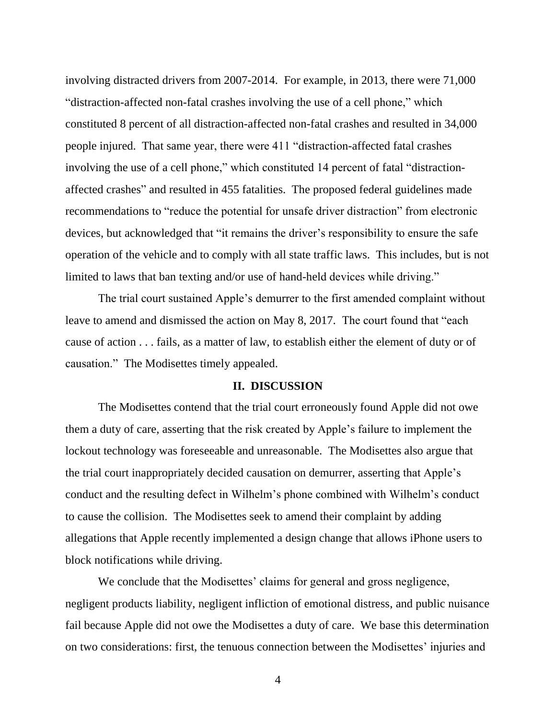involving distracted drivers from 2007-2014. For example, in 2013, there were 71,000 "distraction-affected non-fatal crashes involving the use of a cell phone," which constituted 8 percent of all distraction-affected non-fatal crashes and resulted in 34,000 people injured. That same year, there were 411 "distraction-affected fatal crashes involving the use of a cell phone," which constituted 14 percent of fatal "distractionaffected crashes" and resulted in 455 fatalities. The proposed federal guidelines made recommendations to "reduce the potential for unsafe driver distraction" from electronic devices, but acknowledged that "it remains the driver's responsibility to ensure the safe operation of the vehicle and to comply with all state traffic laws. This includes, but is not limited to laws that ban texting and/or use of hand-held devices while driving."

The trial court sustained Apple's demurrer to the first amended complaint without leave to amend and dismissed the action on May 8, 2017. The court found that "each cause of action . . . fails, as a matter of law, to establish either the element of duty or of causation." The Modisettes timely appealed.

## **II. DISCUSSION**

The Modisettes contend that the trial court erroneously found Apple did not owe them a duty of care, asserting that the risk created by Apple's failure to implement the lockout technology was foreseeable and unreasonable. The Modisettes also argue that the trial court inappropriately decided causation on demurrer, asserting that Apple's conduct and the resulting defect in Wilhelm's phone combined with Wilhelm's conduct to cause the collision. The Modisettes seek to amend their complaint by adding allegations that Apple recently implemented a design change that allows iPhone users to block notifications while driving.

We conclude that the Modisettes' claims for general and gross negligence, negligent products liability, negligent infliction of emotional distress, and public nuisance fail because Apple did not owe the Modisettes a duty of care. We base this determination on two considerations: first, the tenuous connection between the Modisettes' injuries and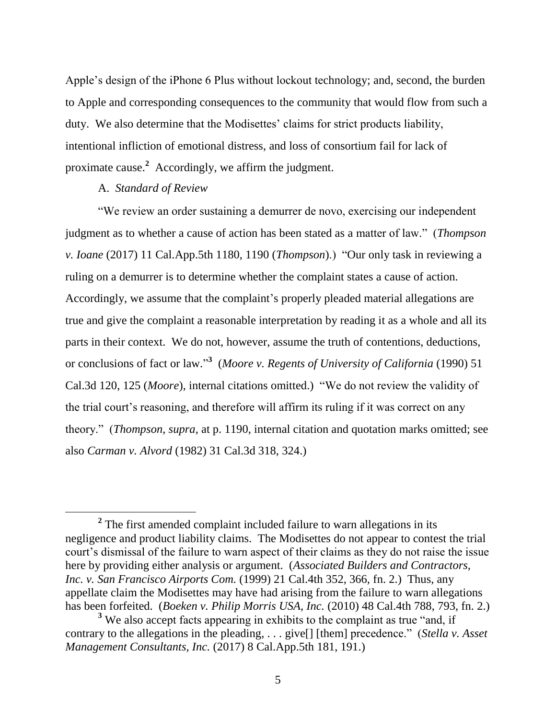Apple's design of the iPhone 6 Plus without lockout technology; and, second, the burden to Apple and corresponding consequences to the community that would flow from such a duty. We also determine that the Modisettes' claims for strict products liability, intentional infliction of emotional distress, and loss of consortium fail for lack of proximate cause.**<sup>2</sup>** Accordingly, we affirm the judgment.

# A. *Standard of Review*

 $\overline{a}$ 

"We review an order sustaining a demurrer de novo, exercising our independent judgment as to whether a cause of action has been stated as a matter of law." (*Thompson v. Ioane* (2017) 11 Cal.App.5th 1180, 1190 (*Thompson*).) "Our only task in reviewing a ruling on a demurrer is to determine whether the complaint states a cause of action. Accordingly, we assume that the complaint's properly pleaded material allegations are true and give the complaint a reasonable interpretation by reading it as a whole and all its parts in their context. We do not, however, assume the truth of contentions, deductions, or conclusions of fact or law." **3** (*Moore v. Regents of University of California* (1990) 51 Cal.3d 120, 125 (*Moore*), internal citations omitted.) "We do not review the validity of the trial court's reasoning, and therefore will affirm its ruling if it was correct on any theory." (*Thompson*, *supra*, at p. 1190, internal citation and quotation marks omitted; see also *Carman v. Alvord* (1982) 31 Cal.3d 318, 324.)

<sup>&</sup>lt;sup>2</sup> The first amended complaint included failure to warn allegations in its negligence and product liability claims. The Modisettes do not appear to contest the trial court's dismissal of the failure to warn aspect of their claims as they do not raise the issue here by providing either analysis or argument. (*Associated Builders and Contractors, Inc. v. San Francisco Airports Com.* (1999) 21 Cal.4th 352, 366, fn. 2.) Thus, any appellate claim the Modisettes may have had arising from the failure to warn allegations has been forfeited. (*Boeken v. Philip Morris USA, Inc.* (2010) 48 Cal.4th 788, 793, fn. 2.)

<sup>&</sup>lt;sup>3</sup> We also accept facts appearing in exhibits to the complaint as true "and, if contrary to the allegations in the pleading, . . . give[] [them] precedence." (*Stella v. Asset Management Consultants, Inc.* (2017) 8 Cal.App.5th 181, 191.)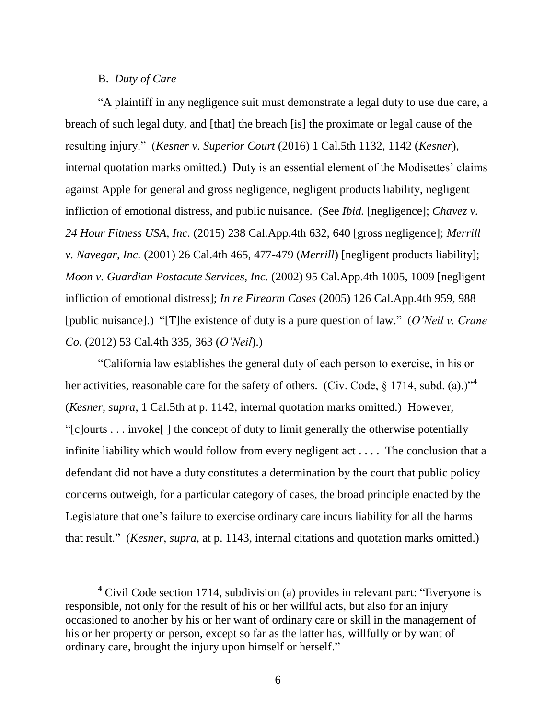# B. *Duty of Care*

"A plaintiff in any negligence suit must demonstrate a legal duty to use due care, a breach of such legal duty, and [that] the breach [is] the proximate or legal cause of the resulting injury." (*Kesner v. Superior Court* (2016) 1 Cal.5th 1132, 1142 (*Kesner*), internal quotation marks omitted.) Duty is an essential element of the Modisettes' claims against Apple for general and gross negligence, negligent products liability, negligent infliction of emotional distress, and public nuisance. (See *Ibid.* [negligence]; *Chavez v. 24 Hour Fitness USA, Inc.* (2015) 238 Cal.App.4th 632, 640 [gross negligence]; *Merrill v. Navegar, Inc.* (2001) 26 Cal.4th 465, 477-479 (*Merrill*) [negligent products liability]; *Moon v. Guardian Postacute Services, Inc.* (2002) 95 Cal.App.4th 1005, 1009 [negligent infliction of emotional distress]; *In re Firearm Cases* (2005) 126 Cal.App.4th 959, 988 [public nuisance].) "[T]he existence of duty is a pure question of law." (*O'Neil v. Crane Co.* (2012) 53 Cal.4th 335, 363 (*O'Neil*).)

"California law establishes the general duty of each person to exercise, in his or her activities, reasonable care for the safety of others. (Civ. Code,  $\S$  1714, subd. (a).)<sup>"4</sup> (*Kesner*, *supra*, 1 Cal.5th at p. 1142, internal quotation marks omitted.) However, "[c]ourts . . . invoke[ ] the concept of duty to limit generally the otherwise potentially infinite liability which would follow from every negligent act . . . . The conclusion that a defendant did not have a duty constitutes a determination by the court that public policy concerns outweigh, for a particular category of cases, the broad principle enacted by the Legislature that one's failure to exercise ordinary care incurs liability for all the harms that result." (*Kesner*, *supra*, at p. 1143, internal citations and quotation marks omitted.)

**<sup>4</sup>** Civil Code section 1714, subdivision (a) provides in relevant part: "Everyone is responsible, not only for the result of his or her willful acts, but also for an injury occasioned to another by his or her want of ordinary care or skill in the management of his or her property or person, except so far as the latter has, willfully or by want of ordinary care, brought the injury upon himself or herself."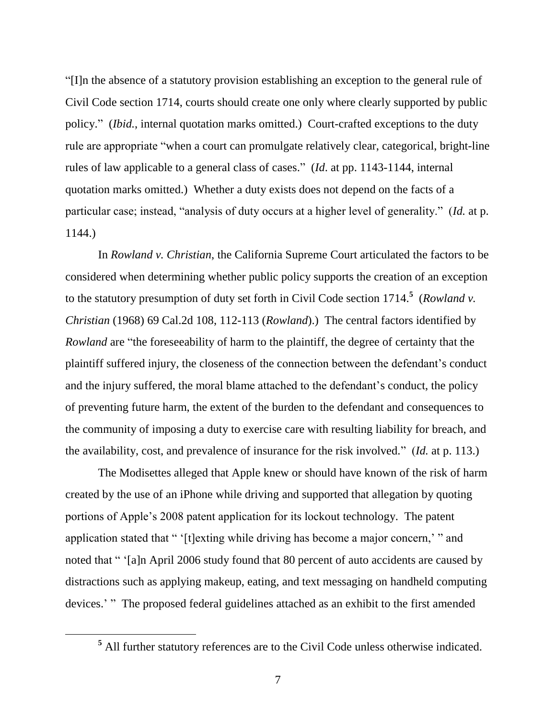"[I]n the absence of a statutory provision establishing an exception to the general rule of Civil Code section 1714, courts should create one only where clearly supported by public policy." (*Ibid.*, internal quotation marks omitted.) Court-crafted exceptions to the duty rule are appropriate "when a court can promulgate relatively clear, categorical, bright-line rules of law applicable to a general class of cases." (*Id*. at pp. 1143-1144, internal quotation marks omitted.) Whether a duty exists does not depend on the facts of a particular case; instead, "analysis of duty occurs at a higher level of generality." (*Id.* at p. 1144.)

In *Rowland v. Christian*, the California Supreme Court articulated the factors to be considered when determining whether public policy supports the creation of an exception to the statutory presumption of duty set forth in Civil Code section 1714. **5** (*Rowland v. Christian* (1968) 69 Cal.2d 108, 112-113 (*Rowland*).) The central factors identified by *Rowland* are "the foreseeability of harm to the plaintiff, the degree of certainty that the plaintiff suffered injury, the closeness of the connection between the defendant's conduct and the injury suffered, the moral blame attached to the defendant's conduct, the policy of preventing future harm, the extent of the burden to the defendant and consequences to the community of imposing a duty to exercise care with resulting liability for breach, and the availability, cost, and prevalence of insurance for the risk involved." (*Id.* at p. 113.)

The Modisettes alleged that Apple knew or should have known of the risk of harm created by the use of an iPhone while driving and supported that allegation by quoting portions of Apple's 2008 patent application for its lockout technology. The patent application stated that " '[t]exting while driving has become a major concern,' " and noted that " '[a]n April 2006 study found that 80 percent of auto accidents are caused by distractions such as applying makeup, eating, and text messaging on handheld computing devices.' " The proposed federal guidelines attached as an exhibit to the first amended

 $\overline{a}$ 

**<sup>5</sup>** All further statutory references are to the Civil Code unless otherwise indicated.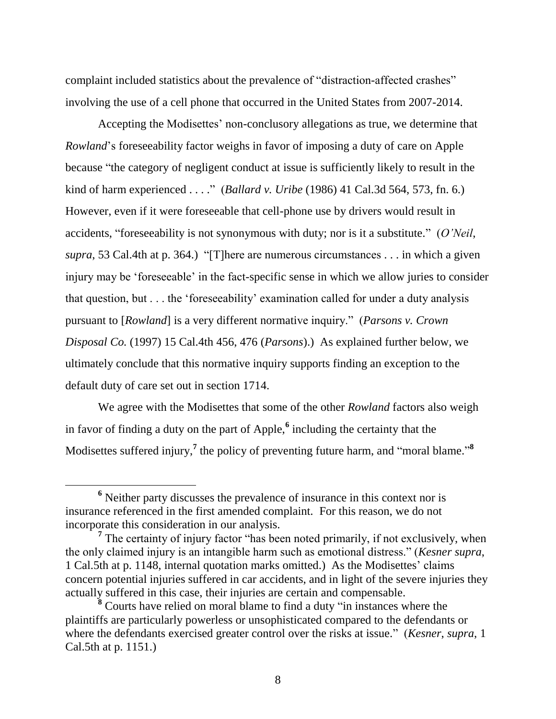complaint included statistics about the prevalence of "distraction-affected crashes" involving the use of a cell phone that occurred in the United States from 2007-2014.

Accepting the Modisettes' non-conclusory allegations as true, we determine that *Rowland*'s foreseeability factor weighs in favor of imposing a duty of care on Apple because "the category of negligent conduct at issue is sufficiently likely to result in the kind of harm experienced . . . ." (*Ballard v. Uribe* (1986) 41 Cal.3d 564, 573, fn. 6.) However, even if it were foreseeable that cell-phone use by drivers would result in accidents, "foreseeability is not synonymous with duty; nor is it a substitute." (*O'Neil*, *supra*, 53 Cal.4th at p. 364.) "[T]here are numerous circumstances . . . in which a given injury may be 'foreseeable' in the fact-specific sense in which we allow juries to consider that question, but . . . the 'foreseeability' examination called for under a duty analysis pursuant to [*Rowland*] is a very different normative inquiry." (*Parsons v. Crown Disposal Co.* (1997) 15 Cal.4th 456, 476 (*Parsons*).) As explained further below, we ultimately conclude that this normative inquiry supports finding an exception to the default duty of care set out in section 1714.

We agree with the Modisettes that some of the other *Rowland* factors also weigh in favor of finding a duty on the part of Apple,**<sup>6</sup>** including the certainty that the Modisettes suffered injury,<sup>7</sup> the policy of preventing future harm, and "moral blame."<sup>8</sup>

**<sup>6</sup>** Neither party discusses the prevalence of insurance in this context nor is insurance referenced in the first amended complaint. For this reason, we do not incorporate this consideration in our analysis.

<sup>&</sup>lt;sup>7</sup> The certainty of injury factor "has been noted primarily, if not exclusively, when the only claimed injury is an intangible harm such as emotional distress." (*Kesner supra*, 1 Cal.5th at p. 1148, internal quotation marks omitted.) As the Modisettes' claims concern potential injuries suffered in car accidents, and in light of the severe injuries they actually suffered in this case, their injuries are certain and compensable.

<sup>&</sup>lt;sup>8</sup> Courts have relied on moral blame to find a duty "in instances where the plaintiffs are particularly powerless or unsophisticated compared to the defendants or where the defendants exercised greater control over the risks at issue." (*Kesner*, *supra*, 1 Cal.5th at p. 1151.)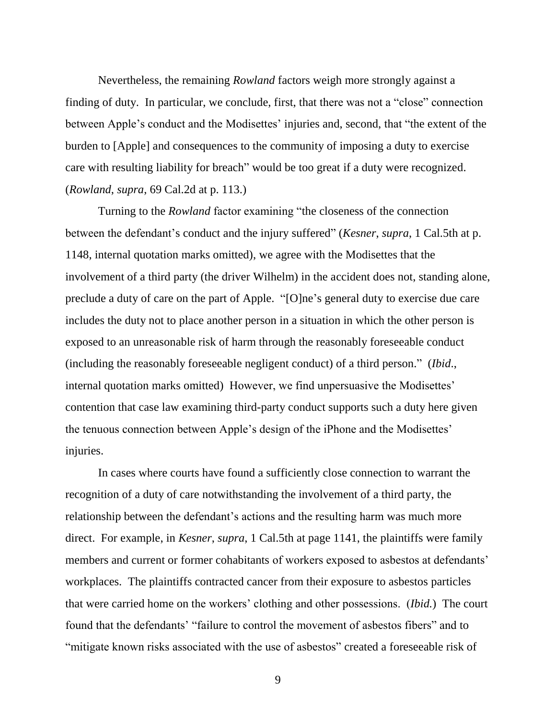Nevertheless, the remaining *Rowland* factors weigh more strongly against a finding of duty. In particular, we conclude, first, that there was not a "close" connection between Apple's conduct and the Modisettes' injuries and, second, that "the extent of the burden to [Apple] and consequences to the community of imposing a duty to exercise care with resulting liability for breach" would be too great if a duty were recognized. (*Rowland*, *supra*, 69 Cal.2d at p. 113.)

Turning to the *Rowland* factor examining "the closeness of the connection between the defendant's conduct and the injury suffered" (*Kesner*, *supra*, 1 Cal.5th at p. 1148, internal quotation marks omitted), we agree with the Modisettes that the involvement of a third party (the driver Wilhelm) in the accident does not, standing alone, preclude a duty of care on the part of Apple. "[O]ne's general duty to exercise due care includes the duty not to place another person in a situation in which the other person is exposed to an unreasonable risk of harm through the reasonably foreseeable conduct (including the reasonably foreseeable negligent conduct) of a third person." (*Ibid*., internal quotation marks omitted) However, we find unpersuasive the Modisettes' contention that case law examining third-party conduct supports such a duty here given the tenuous connection between Apple's design of the iPhone and the Modisettes' injuries.

In cases where courts have found a sufficiently close connection to warrant the recognition of a duty of care notwithstanding the involvement of a third party, the relationship between the defendant's actions and the resulting harm was much more direct. For example, in *Kesner*, *supra*, 1 Cal.5th at page 1141, the plaintiffs were family members and current or former cohabitants of workers exposed to asbestos at defendants' workplaces. The plaintiffs contracted cancer from their exposure to asbestos particles that were carried home on the workers' clothing and other possessions. (*Ibid.*) The court found that the defendants' "failure to control the movement of asbestos fibers" and to "mitigate known risks associated with the use of asbestos" created a foreseeable risk of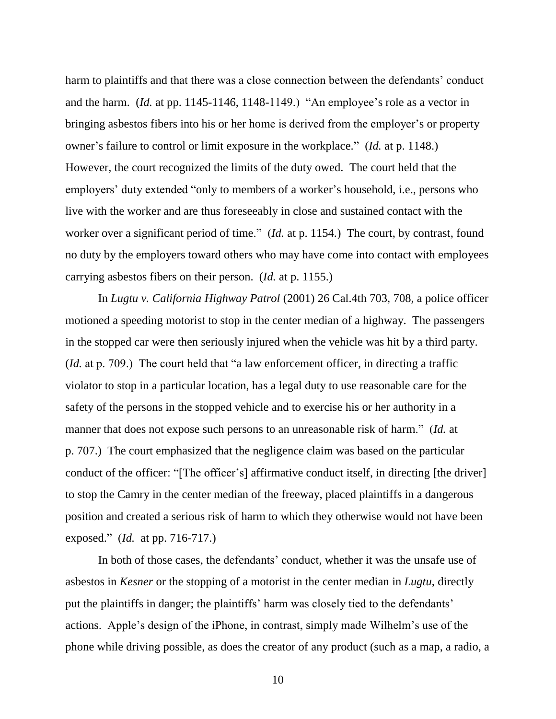harm to plaintiffs and that there was a close connection between the defendants' conduct and the harm. (*Id.* at pp. 1145-1146, 1148-1149.) "An employee's role as a vector in bringing asbestos fibers into his or her home is derived from the employer's or property owner's failure to control or limit exposure in the workplace." (*Id.* at p. 1148.) However, the court recognized the limits of the duty owed. The court held that the employers' duty extended "only to members of a worker's household, i.e., persons who live with the worker and are thus foreseeably in close and sustained contact with the worker over a significant period of time." (*Id.* at p. 1154.) The court, by contrast, found no duty by the employers toward others who may have come into contact with employees carrying asbestos fibers on their person. (*Id.* at p. 1155.)

In *Lugtu v. California Highway Patrol* (2001) 26 Cal.4th 703, 708, a police officer motioned a speeding motorist to stop in the center median of a highway. The passengers in the stopped car were then seriously injured when the vehicle was hit by a third party. (*Id.* at p. 709.) The court held that "a law enforcement officer, in directing a traffic violator to stop in a particular location, has a legal duty to use reasonable care for the safety of the persons in the stopped vehicle and to exercise his or her authority in a manner that does not expose such persons to an unreasonable risk of harm." (*Id.* at p. 707.) The court emphasized that the negligence claim was based on the particular conduct of the officer: "[The officer's] affirmative conduct itself, in directing [the driver] to stop the Camry in the center median of the freeway, placed plaintiffs in a dangerous position and created a serious risk of harm to which they otherwise would not have been exposed." (*Id.* at pp. 716-717.)

In both of those cases, the defendants' conduct, whether it was the unsafe use of asbestos in *Kesner* or the stopping of a motorist in the center median in *Lugtu*, directly put the plaintiffs in danger; the plaintiffs' harm was closely tied to the defendants' actions. Apple's design of the iPhone, in contrast, simply made Wilhelm's use of the phone while driving possible, as does the creator of any product (such as a map, a radio, a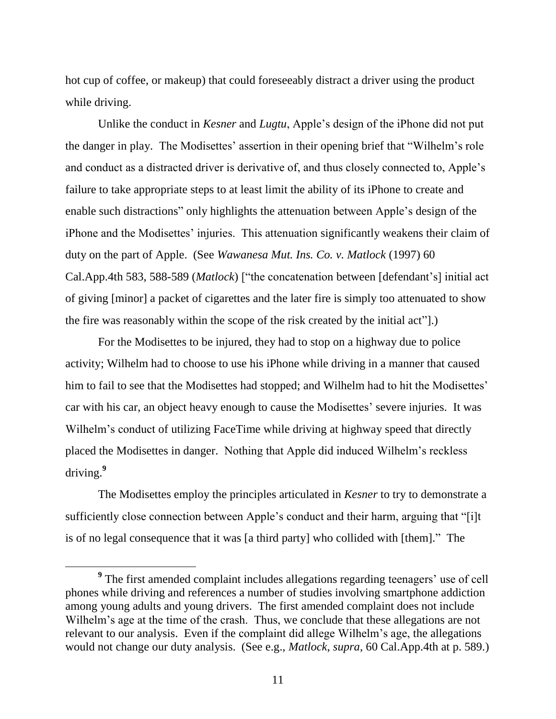hot cup of coffee, or makeup) that could foreseeably distract a driver using the product while driving.

Unlike the conduct in *Kesner* and *Lugtu*, Apple's design of the iPhone did not put the danger in play. The Modisettes' assertion in their opening brief that "Wilhelm's role and conduct as a distracted driver is derivative of, and thus closely connected to, Apple's failure to take appropriate steps to at least limit the ability of its iPhone to create and enable such distractions" only highlights the attenuation between Apple's design of the iPhone and the Modisettes' injuries. This attenuation significantly weakens their claim of duty on the part of Apple. (See *Wawanesa Mut. Ins. Co. v. Matlock* (1997) 60 Cal.App.4th 583, 588-589 (*Matlock*) ["the concatenation between [defendant's] initial act of giving [minor] a packet of cigarettes and the later fire is simply too attenuated to show the fire was reasonably within the scope of the risk created by the initial act"].)

For the Modisettes to be injured, they had to stop on a highway due to police activity; Wilhelm had to choose to use his iPhone while driving in a manner that caused him to fail to see that the Modisettes had stopped; and Wilhelm had to hit the Modisettes' car with his car, an object heavy enough to cause the Modisettes' severe injuries. It was Wilhelm's conduct of utilizing FaceTime while driving at highway speed that directly placed the Modisettes in danger. Nothing that Apple did induced Wilhelm's reckless driving.**<sup>9</sup>**

The Modisettes employ the principles articulated in *Kesner* to try to demonstrate a sufficiently close connection between Apple's conduct and their harm, arguing that "[i]t is of no legal consequence that it was [a third party] who collided with [them]." The

 $\overline{a}$ 

<sup>&</sup>lt;sup>9</sup> The first amended complaint includes allegations regarding teenagers' use of cell phones while driving and references a number of studies involving smartphone addiction among young adults and young drivers. The first amended complaint does not include Wilhelm's age at the time of the crash. Thus, we conclude that these allegations are not relevant to our analysis. Even if the complaint did allege Wilhelm's age, the allegations would not change our duty analysis. (See e.g., *Matlock*, *supra*, 60 Cal.App.4th at p. 589.)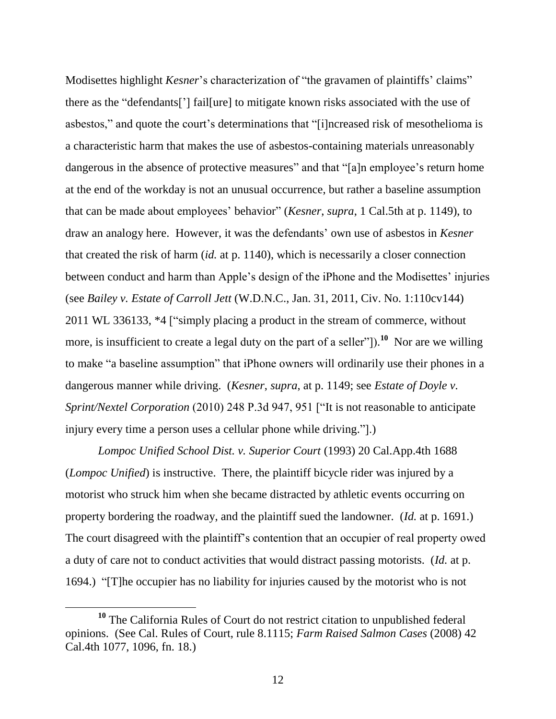Modisettes highlight *Kesner*'s characterization of "the gravamen of plaintiffs' claims" there as the "defendants['] fail[ure] to mitigate known risks associated with the use of asbestos," and quote the court's determinations that "[i]ncreased risk of mesothelioma is a characteristic harm that makes the use of asbestos-containing materials unreasonably dangerous in the absence of protective measures" and that "[a]n employee's return home at the end of the workday is not an unusual occurrence, but rather a baseline assumption that can be made about employees' behavior" (*Kesner*, *supra*, 1 Cal.5th at p. 1149), to draw an analogy here. However, it was the defendants' own use of asbestos in *Kesner* that created the risk of harm (*id.* at p. 1140), which is necessarily a closer connection between conduct and harm than Apple's design of the iPhone and the Modisettes' injuries (see *Bailey v. Estate of Carroll Jett* (W.D.N.C., Jan. 31, 2011, Civ. No. 1:110cv144) 2011 WL 336133, \*4 ["simply placing a product in the stream of commerce, without more, is insufficient to create a legal duty on the part of a seller"]).<sup>10</sup> Nor are we willing to make "a baseline assumption" that iPhone owners will ordinarily use their phones in a dangerous manner while driving. (*Kesner*, *supra*, at p. 1149; see *Estate of Doyle v. Sprint/Nextel Corporation* (2010) 248 P.3d 947, 951 ["It is not reasonable to anticipate injury every time a person uses a cellular phone while driving.".

*Lompoc Unified School Dist. v. Superior Court* (1993) 20 Cal.App.4th 1688 (*Lompoc Unified*) is instructive. There, the plaintiff bicycle rider was injured by a motorist who struck him when she became distracted by athletic events occurring on property bordering the roadway, and the plaintiff sued the landowner. (*Id.* at p. 1691.) The court disagreed with the plaintiff's contention that an occupier of real property owed a duty of care not to conduct activities that would distract passing motorists. (*Id.* at p. 1694.) "[T]he occupier has no liability for injuries caused by the motorist who is not

**<sup>10</sup>** The California Rules of Court do not restrict citation to unpublished federal opinions. (See Cal. Rules of Court, rule 8.1115; *Farm Raised Salmon Cases* (2008) 42 Cal.4th 1077, 1096, fn. 18.)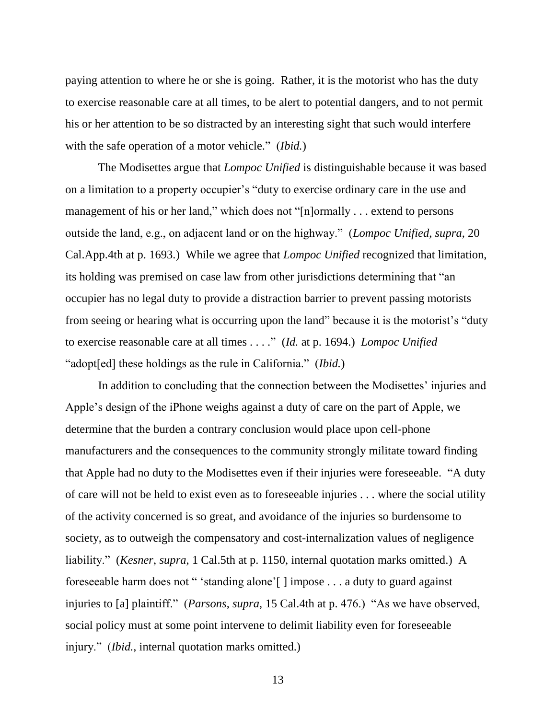paying attention to where he or she is going. Rather, it is the motorist who has the duty to exercise reasonable care at all times, to be alert to potential dangers, and to not permit his or her attention to be so distracted by an interesting sight that such would interfere with the safe operation of a motor vehicle." (*Ibid.*)

The Modisettes argue that *Lompoc Unified* is distinguishable because it was based on a limitation to a property occupier's "duty to exercise ordinary care in the use and management of his or her land," which does not "[n]ormally . . . extend to persons outside the land, e.g., on adjacent land or on the highway." (*Lompoc Unified*, *supra*, 20 Cal.App.4th at p. 1693.) While we agree that *Lompoc Unified* recognized that limitation, its holding was premised on case law from other jurisdictions determining that "an occupier has no legal duty to provide a distraction barrier to prevent passing motorists from seeing or hearing what is occurring upon the land" because it is the motorist's "duty to exercise reasonable care at all times . . . ." (*Id.* at p. 1694.) *Lompoc Unified*  "adopt[ed] these holdings as the rule in California." (*Ibid.*)

In addition to concluding that the connection between the Modisettes' injuries and Apple's design of the iPhone weighs against a duty of care on the part of Apple, we determine that the burden a contrary conclusion would place upon cell-phone manufacturers and the consequences to the community strongly militate toward finding that Apple had no duty to the Modisettes even if their injuries were foreseeable. "A duty of care will not be held to exist even as to foreseeable injuries . . . where the social utility of the activity concerned is so great, and avoidance of the injuries so burdensome to society, as to outweigh the compensatory and cost-internalization values of negligence liability." (*Kesner*, *supra*, 1 Cal.5th at p. 1150, internal quotation marks omitted.) A foreseeable harm does not " 'standing alone'[ ] impose . . . a duty to guard against injuries to [a] plaintiff." (*Parsons*, *supra*, 15 Cal.4th at p. 476.) "As we have observed, social policy must at some point intervene to delimit liability even for foreseeable injury." (*Ibid.*, internal quotation marks omitted.)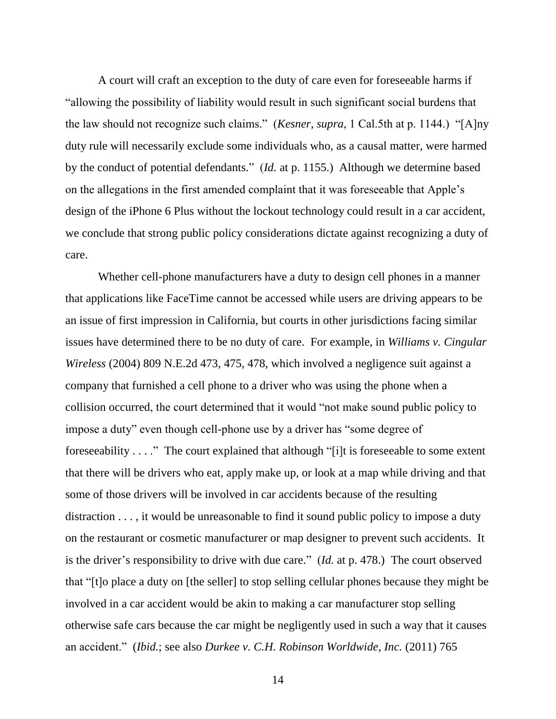A court will craft an exception to the duty of care even for foreseeable harms if "allowing the possibility of liability would result in such significant social burdens that the law should not recognize such claims." (*Kesner*, *supra*, 1 Cal.5th at p. 1144.) "[A]ny duty rule will necessarily exclude some individuals who, as a causal matter, were harmed by the conduct of potential defendants." (*Id.* at p. 1155.) Although we determine based on the allegations in the first amended complaint that it was foreseeable that Apple's design of the iPhone 6 Plus without the lockout technology could result in a car accident, we conclude that strong public policy considerations dictate against recognizing a duty of care.

Whether cell-phone manufacturers have a duty to design cell phones in a manner that applications like FaceTime cannot be accessed while users are driving appears to be an issue of first impression in California, but courts in other jurisdictions facing similar issues have determined there to be no duty of care. For example, in *Williams v. Cingular Wireless* (2004) 809 N.E.2d 473, 475, 478, which involved a negligence suit against a company that furnished a cell phone to a driver who was using the phone when a collision occurred, the court determined that it would "not make sound public policy to impose a duty" even though cell-phone use by a driver has "some degree of foreseeability . . . ." The court explained that although "[i]t is foreseeable to some extent that there will be drivers who eat, apply make up, or look at a map while driving and that some of those drivers will be involved in car accidents because of the resulting distraction . . . , it would be unreasonable to find it sound public policy to impose a duty on the restaurant or cosmetic manufacturer or map designer to prevent such accidents. It is the driver's responsibility to drive with due care." (*Id.* at p. 478.) The court observed that "[t]o place a duty on [the seller] to stop selling cellular phones because they might be involved in a car accident would be akin to making a car manufacturer stop selling otherwise safe cars because the car might be negligently used in such a way that it causes an accident." (*Ibid.*; see also *Durkee v. C.H. Robinson Worldwide, Inc.* (2011) 765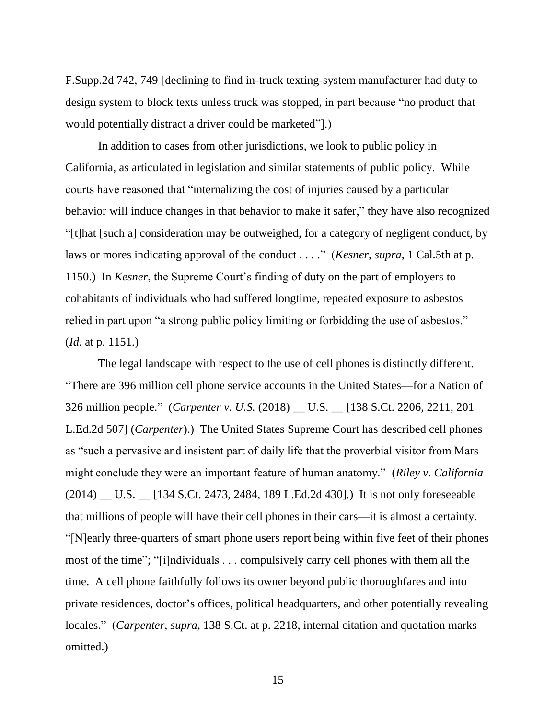F.Supp.2d 742, 749 [declining to find in-truck texting-system manufacturer had duty to design system to block texts unless truck was stopped, in part because "no product that would potentially distract a driver could be marketed"].)

In addition to cases from other jurisdictions, we look to public policy in California, as articulated in legislation and similar statements of public policy. While courts have reasoned that "internalizing the cost of injuries caused by a particular behavior will induce changes in that behavior to make it safer," they have also recognized "[t]hat [such a] consideration may be outweighed, for a category of negligent conduct, by laws or mores indicating approval of the conduct . . . ." (*Kesner*, *supra*, 1 Cal.5th at p. 1150.) In *Kesner*, the Supreme Court's finding of duty on the part of employers to cohabitants of individuals who had suffered longtime, repeated exposure to asbestos relied in part upon "a strong public policy limiting or forbidding the use of asbestos." (*Id.* at p. 1151.)

The legal landscape with respect to the use of cell phones is distinctly different. "There are 396 million cell phone service accounts in the United States—for a Nation of 326 million people." (*Carpenter v. U.S.* (2018) \_\_ U.S. \_\_ [138 S.Ct. 2206, 2211, 201 L.Ed.2d 507] (*Carpenter*).) The United States Supreme Court has described cell phones as "such a pervasive and insistent part of daily life that the proverbial visitor from Mars might conclude they were an important feature of human anatomy." (*Riley v. California* (2014) \_\_ U.S. \_\_ [134 S.Ct. 2473, 2484, 189 L.Ed.2d 430]*.*) It is not only foreseeable that millions of people will have their cell phones in their cars—it is almost a certainty. "[N]early three-quarters of smart phone users report being within five feet of their phones most of the time"; "[i]ndividuals . . . compulsively carry cell phones with them all the time. A cell phone faithfully follows its owner beyond public thoroughfares and into private residences, doctor's offices, political headquarters, and other potentially revealing locales." (*Carpenter*, *supra*, 138 S.Ct. at p. 2218, internal citation and quotation marks omitted.)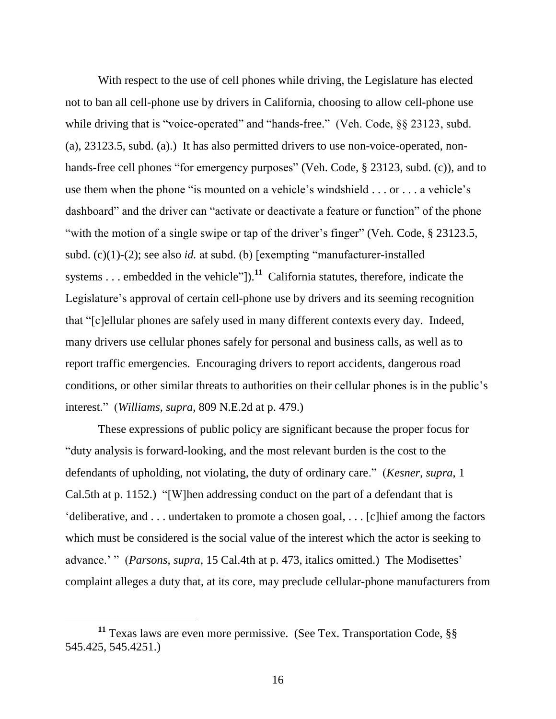With respect to the use of cell phones while driving, the Legislature has elected not to ban all cell-phone use by drivers in California, choosing to allow cell-phone use while driving that is "voice-operated" and "hands-free." (Veh. Code, §§ 23123, subd. (a), 23123.5, subd. (a).) It has also permitted drivers to use non-voice-operated, nonhands-free cell phones "for emergency purposes" (Veh. Code, § 23123, subd. (c)), and to use them when the phone "is mounted on a vehicle's windshield . . . or . . . a vehicle's dashboard" and the driver can "activate or deactivate a feature or function" of the phone "with the motion of a single swipe or tap of the driver's finger" (Veh. Code, § 23123.5, subd. (c)(1)-(2); see also *id.* at subd. (b) [exempting "manufacturer-installed systems . . . embedded in the vehicle"]).<sup>11</sup> California statutes, therefore, indicate the Legislature's approval of certain cell-phone use by drivers and its seeming recognition that "[c]ellular phones are safely used in many different contexts every day. Indeed, many drivers use cellular phones safely for personal and business calls, as well as to report traffic emergencies. Encouraging drivers to report accidents, dangerous road conditions, or other similar threats to authorities on their cellular phones is in the public's interest." (*Williams*, *supra*, 809 N.E.2d at p. 479.)

These expressions of public policy are significant because the proper focus for "duty analysis is forward-looking, and the most relevant burden is the cost to the defendants of upholding, not violating, the duty of ordinary care." (*Kesner*, *supra*, 1 Cal.5th at p. 1152.) "[W]hen addressing conduct on the part of a defendant that is 'deliberative, and . . . undertaken to promote a chosen goal, . . . [c]hief among the factors which must be considered is the social value of the interest which the actor is seeking to advance.' " (*Parsons*, *supra*, 15 Cal.4th at p. 473, italics omitted.) The Modisettes' complaint alleges a duty that, at its core, may preclude cellular-phone manufacturers from

**<sup>11</sup>** Texas laws are even more permissive. (See Tex. Transportation Code, §§ 545.425, 545.4251.)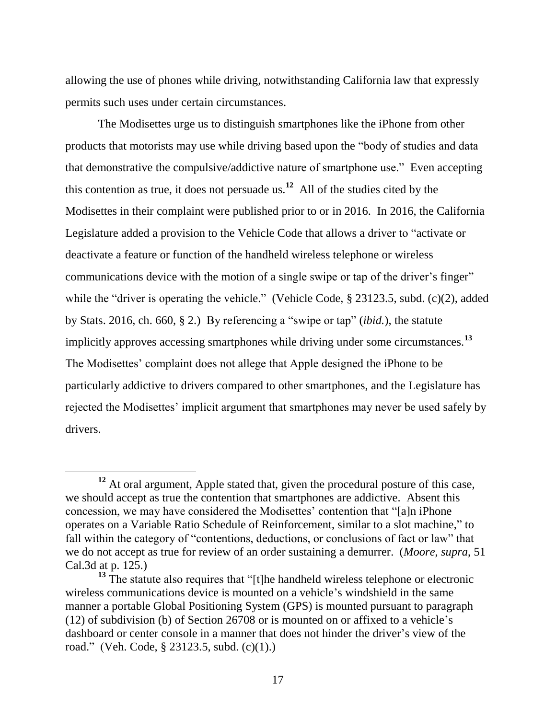allowing the use of phones while driving, notwithstanding California law that expressly permits such uses under certain circumstances.

The Modisettes urge us to distinguish smartphones like the iPhone from other products that motorists may use while driving based upon the "body of studies and data that demonstrative the compulsive/addictive nature of smartphone use." Even accepting this contention as true, it does not persuade us.**<sup>12</sup>** All of the studies cited by the Modisettes in their complaint were published prior to or in 2016. In 2016, the California Legislature added a provision to the Vehicle Code that allows a driver to "activate or deactivate a feature or function of the handheld wireless telephone or wireless communications device with the motion of a single swipe or tap of the driver's finger" while the "driver is operating the vehicle." (Vehicle Code, § 23123.5, subd. (c)(2), added by Stats. 2016, ch. 660, § 2.) By referencing a "swipe or tap" (*ibid.*), the statute implicitly approves accessing smartphones while driving under some circumstances.**<sup>13</sup>** The Modisettes' complaint does not allege that Apple designed the iPhone to be particularly addictive to drivers compared to other smartphones, and the Legislature has rejected the Modisettes' implicit argument that smartphones may never be used safely by drivers.

 $\overline{a}$ 

<sup>&</sup>lt;sup>12</sup> At oral argument, Apple stated that, given the procedural posture of this case, we should accept as true the contention that smartphones are addictive. Absent this concession, we may have considered the Modisettes' contention that "[a]n iPhone operates on a Variable Ratio Schedule of Reinforcement, similar to a slot machine," to fall within the category of "contentions, deductions, or conclusions of fact or law" that we do not accept as true for review of an order sustaining a demurrer. (*Moore*, *supra*, 51 Cal.3d at p. 125.)

<sup>&</sup>lt;sup>13</sup> The statute also requires that "[t]he handheld wireless telephone or electronic wireless communications device is mounted on a vehicle's windshield in the same manner a portable Global Positioning System (GPS) is mounted pursuant to paragraph (12) of subdivision (b) of Section 26708 or is mounted on or affixed to a vehicle's dashboard or center console in a manner that does not hinder the driver's view of the road." (Veh. Code, § 23123.5, subd. (c)(1).)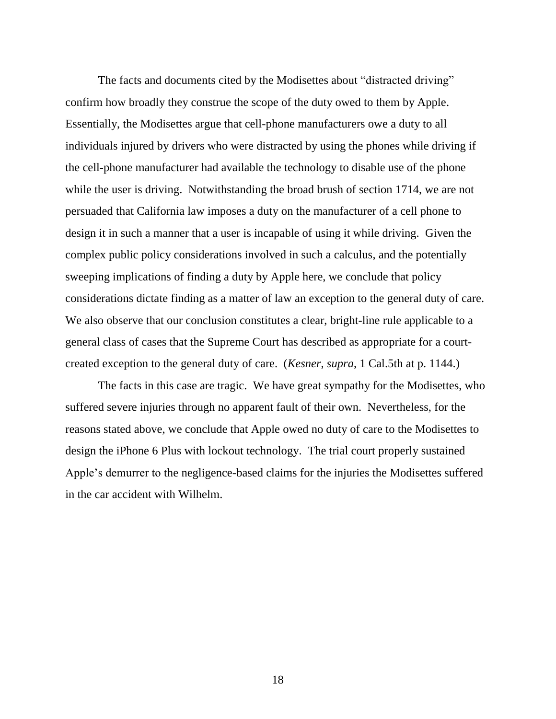The facts and documents cited by the Modisettes about "distracted driving" confirm how broadly they construe the scope of the duty owed to them by Apple. Essentially, the Modisettes argue that cell-phone manufacturers owe a duty to all individuals injured by drivers who were distracted by using the phones while driving if the cell-phone manufacturer had available the technology to disable use of the phone while the user is driving. Notwithstanding the broad brush of section 1714, we are not persuaded that California law imposes a duty on the manufacturer of a cell phone to design it in such a manner that a user is incapable of using it while driving. Given the complex public policy considerations involved in such a calculus, and the potentially sweeping implications of finding a duty by Apple here, we conclude that policy considerations dictate finding as a matter of law an exception to the general duty of care. We also observe that our conclusion constitutes a clear, bright-line rule applicable to a general class of cases that the Supreme Court has described as appropriate for a courtcreated exception to the general duty of care. (*Kesner*, *supra*, 1 Cal.5th at p. 1144.)

The facts in this case are tragic. We have great sympathy for the Modisettes, who suffered severe injuries through no apparent fault of their own. Nevertheless, for the reasons stated above, we conclude that Apple owed no duty of care to the Modisettes to design the iPhone 6 Plus with lockout technology. The trial court properly sustained Apple's demurrer to the negligence-based claims for the injuries the Modisettes suffered in the car accident with Wilhelm.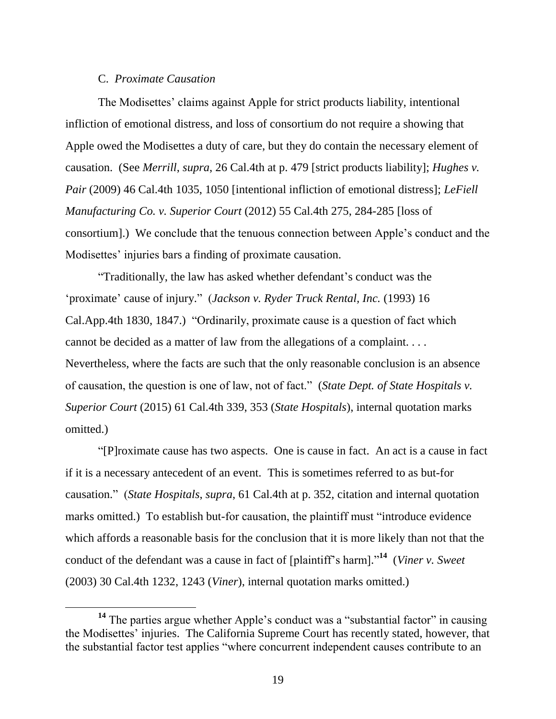# C. *Proximate Causation*

The Modisettes' claims against Apple for strict products liability, intentional infliction of emotional distress, and loss of consortium do not require a showing that Apple owed the Modisettes a duty of care, but they do contain the necessary element of causation. (See *Merrill*, *supra*, 26 Cal.4th at p. 479 [strict products liability]; *Hughes v. Pair* (2009) 46 Cal.4th 1035, 1050 [intentional infliction of emotional distress]; *LeFiell Manufacturing Co. v. Superior Court* (2012) 55 Cal.4th 275, 284-285 [loss of consortium].) We conclude that the tenuous connection between Apple's conduct and the Modisettes' injuries bars a finding of proximate causation.

"Traditionally, the law has asked whether defendant's conduct was the 'proximate' cause of injury." (*Jackson v. Ryder Truck Rental, Inc.* (1993) 16 Cal.App.4th 1830, 1847.) "Ordinarily, proximate cause is a question of fact which cannot be decided as a matter of law from the allegations of a complaint. . . . Nevertheless, where the facts are such that the only reasonable conclusion is an absence of causation, the question is one of law, not of fact." (*State Dept. of State Hospitals v. Superior Court* (2015) 61 Cal.4th 339, 353 (*State Hospitals*), internal quotation marks omitted.)

"[P]roximate cause has two aspects. One is cause in fact. An act is a cause in fact if it is a necessary antecedent of an event. This is sometimes referred to as but-for causation." (*State Hospitals*, *supra*, 61 Cal.4th at p. 352, citation and internal quotation marks omitted.) To establish but-for causation, the plaintiff must "introduce evidence which affords a reasonable basis for the conclusion that it is more likely than not that the conduct of the defendant was a cause in fact of [plaintiff's harm]." **14** (*Viner v. Sweet* (2003) 30 Cal.4th 1232, 1243 (*Viner*), internal quotation marks omitted.)

<sup>&</sup>lt;sup>14</sup> The parties argue whether Apple's conduct was a "substantial factor" in causing the Modisettes' injuries. The California Supreme Court has recently stated, however, that the substantial factor test applies "where concurrent independent causes contribute to an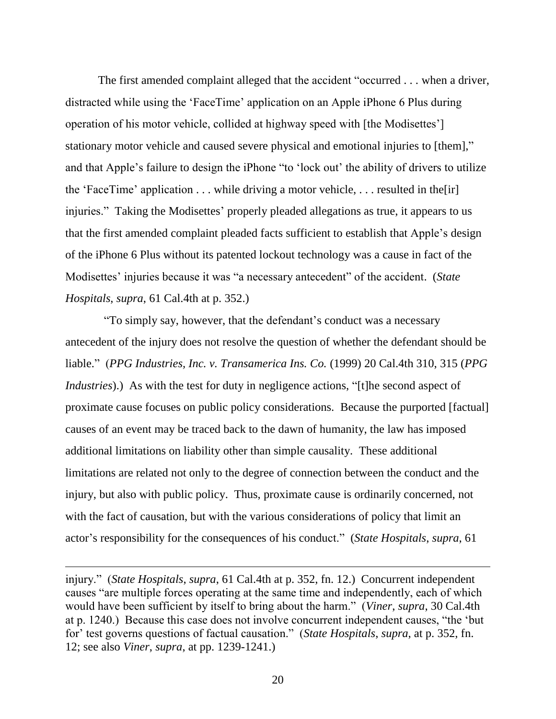The first amended complaint alleged that the accident "occurred . . . when a driver, distracted while using the 'FaceTime' application on an Apple iPhone 6 Plus during operation of his motor vehicle, collided at highway speed with [the Modisettes'] stationary motor vehicle and caused severe physical and emotional injuries to [them]," and that Apple's failure to design the iPhone "to 'lock out' the ability of drivers to utilize the 'FaceTime' application  $\dots$  while driving a motor vehicle,  $\dots$  resulted in the [ir] injuries." Taking the Modisettes' properly pleaded allegations as true, it appears to us that the first amended complaint pleaded facts sufficient to establish that Apple's design of the iPhone 6 Plus without its patented lockout technology was a cause in fact of the Modisettes' injuries because it was "a necessary antecedent" of the accident. (*State Hospitals*, *supra*, 61 Cal.4th at p. 352.)

"To simply say, however, that the defendant's conduct was a necessary antecedent of the injury does not resolve the question of whether the defendant should be liable." (*PPG Industries, Inc. v. Transamerica Ins. Co.* (1999) 20 Cal.4th 310, 315 (*PPG Industries*).) As with the test for duty in negligence actions, "[t]he second aspect of proximate cause focuses on public policy considerations. Because the purported [factual] causes of an event may be traced back to the dawn of humanity, the law has imposed additional limitations on liability other than simple causality. These additional limitations are related not only to the degree of connection between the conduct and the injury, but also with public policy. Thus, proximate cause is ordinarily concerned, not with the fact of causation, but with the various considerations of policy that limit an actor's responsibility for the consequences of his conduct." (*State Hospitals*, *supra*, 61

 $\overline{a}$ 

injury." (*State Hospitals*, *supra*, 61 Cal.4th at p. 352, fn. 12.) Concurrent independent causes "are multiple forces operating at the same time and independently, each of which would have been sufficient by itself to bring about the harm." (*Viner*, *supra*, 30 Cal.4th at p. 1240.) Because this case does not involve concurrent independent causes, "the 'but for' test governs questions of factual causation." (*State Hospitals*, *supra*, at p. 352, fn. 12; see also *Viner*, *supra*, at pp. 1239-1241.)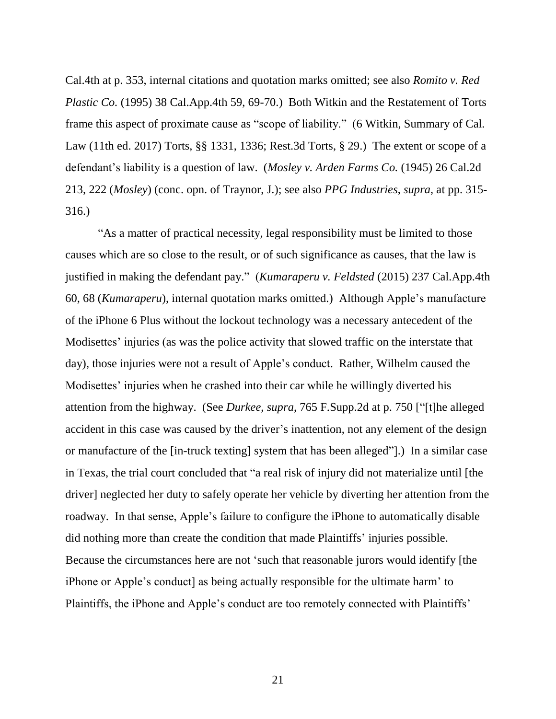Cal.4th at p. 353, internal citations and quotation marks omitted; see also *Romito v. Red Plastic Co.* (1995) 38 Cal.App.4th 59, 69-70.) Both Witkin and the Restatement of Torts frame this aspect of proximate cause as "scope of liability." (6 Witkin, Summary of Cal. Law (11th ed. 2017) Torts, §§ 1331, 1336; Rest.3d Torts, § 29.) The extent or scope of a defendant's liability is a question of law. (*Mosley v. Arden Farms Co.* (1945) 26 Cal.2d 213, 222 (*Mosley*) (conc. opn. of Traynor, J.); see also *PPG Industries*, *supra*, at pp. 315- 316.)

"As a matter of practical necessity, legal responsibility must be limited to those causes which are so close to the result, or of such significance as causes, that the law is justified in making the defendant pay." (*Kumaraperu v. Feldsted* (2015) 237 Cal.App.4th 60, 68 (*Kumaraperu*), internal quotation marks omitted.) Although Apple's manufacture of the iPhone 6 Plus without the lockout technology was a necessary antecedent of the Modisettes' injuries (as was the police activity that slowed traffic on the interstate that day), those injuries were not a result of Apple's conduct. Rather, Wilhelm caused the Modisettes' injuries when he crashed into their car while he willingly diverted his attention from the highway. (See *Durkee*, *supra*, 765 F.Supp.2d at p. 750 ["[t]he alleged accident in this case was caused by the driver's inattention, not any element of the design or manufacture of the [in-truck texting] system that has been alleged"].) In a similar case in Texas, the trial court concluded that "a real risk of injury did not materialize until [the driver] neglected her duty to safely operate her vehicle by diverting her attention from the roadway. In that sense, Apple's failure to configure the iPhone to automatically disable did nothing more than create the condition that made Plaintiffs' injuries possible. Because the circumstances here are not 'such that reasonable jurors would identify [the iPhone or Apple's conduct] as being actually responsible for the ultimate harm' to Plaintiffs, the iPhone and Apple's conduct are too remotely connected with Plaintiffs'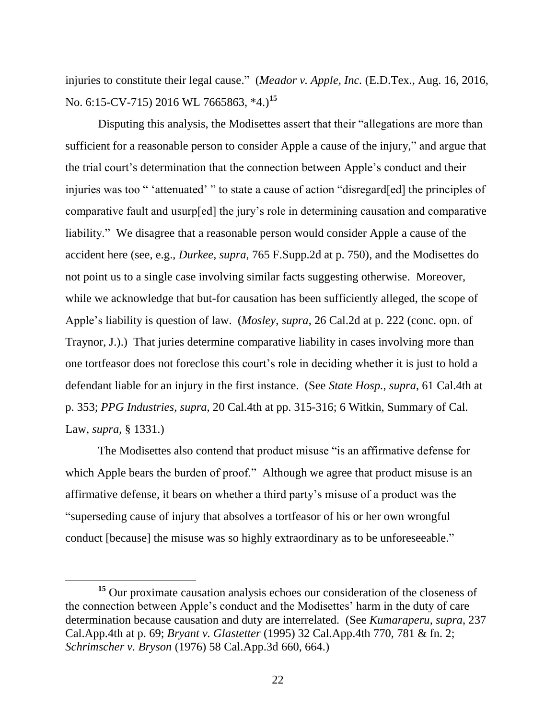injuries to constitute their legal cause." (*Meador v. Apple, Inc.* (E.D.Tex., Aug. 16, 2016, No. 6:15-CV-715) 2016 WL 7665863, \*4.)**<sup>15</sup>**

Disputing this analysis, the Modisettes assert that their "allegations are more than sufficient for a reasonable person to consider Apple a cause of the injury," and argue that the trial court's determination that the connection between Apple's conduct and their injuries was too " 'attenuated' " to state a cause of action "disregard[ed] the principles of comparative fault and usurp[ed] the jury's role in determining causation and comparative liability." We disagree that a reasonable person would consider Apple a cause of the accident here (see, e.g., *Durkee*, *supra*, 765 F.Supp.2d at p. 750), and the Modisettes do not point us to a single case involving similar facts suggesting otherwise. Moreover, while we acknowledge that but-for causation has been sufficiently alleged, the scope of Apple's liability is question of law. (*Mosley*, *supra*, 26 Cal.2d at p. 222 (conc. opn. of Traynor, J.).) That juries determine comparative liability in cases involving more than one tortfeasor does not foreclose this court's role in deciding whether it is just to hold a defendant liable for an injury in the first instance. (See *State Hosp.*, *supra*, 61 Cal.4th at p. 353; *PPG Industries*, *supra*, 20 Cal.4th at pp. 315-316; 6 Witkin, Summary of Cal. Law, *supra*, § 1331.)

The Modisettes also contend that product misuse "is an affirmative defense for which Apple bears the burden of proof." Although we agree that product misuse is an affirmative defense, it bears on whether a third party's misuse of a product was the "superseding cause of injury that absolves a tortfeasor of his or her own wrongful conduct [because] the misuse was so highly extraordinary as to be unforeseeable."

**<sup>15</sup>** Our proximate causation analysis echoes our consideration of the closeness of the connection between Apple's conduct and the Modisettes' harm in the duty of care determination because causation and duty are interrelated. (See *Kumaraperu*, *supra*, 237 Cal.App.4th at p. 69; *Bryant v. Glastetter* (1995) 32 Cal.App.4th 770, 781 & fn. 2; *Schrimscher v. Bryson* (1976) 58 Cal.App.3d 660, 664.)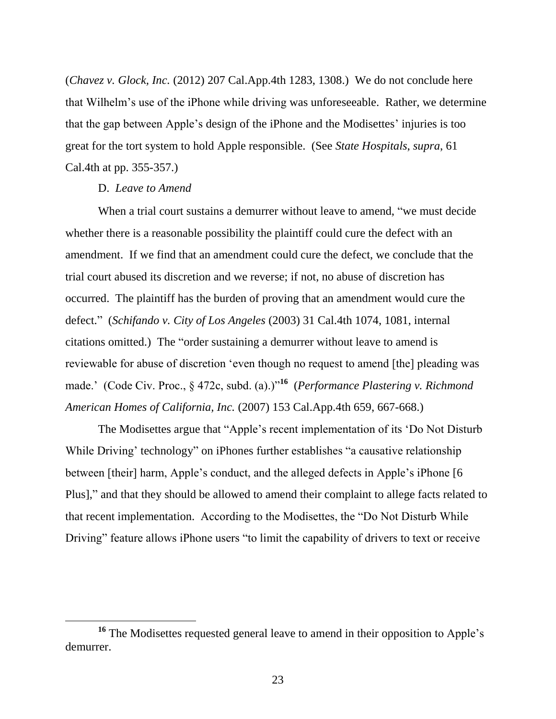(*Chavez v. Glock, Inc.* (2012) 207 Cal.App.4th 1283, 1308.) We do not conclude here that Wilhelm's use of the iPhone while driving was unforeseeable. Rather, we determine that the gap between Apple's design of the iPhone and the Modisettes' injuries is too great for the tort system to hold Apple responsible. (See *State Hospitals*, *supra*, 61 Cal.4th at pp. 355-357.)

# D. *Leave to Amend*

When a trial court sustains a demurrer without leave to amend, "we must decide whether there is a reasonable possibility the plaintiff could cure the defect with an amendment. If we find that an amendment could cure the defect, we conclude that the trial court abused its discretion and we reverse; if not, no abuse of discretion has occurred. The plaintiff has the burden of proving that an amendment would cure the defect." (*Schifando v. City of Los Angeles* (2003) 31 Cal.4th 1074, 1081, internal citations omitted.) The "order sustaining a demurrer without leave to amend is reviewable for abuse of discretion 'even though no request to amend [the] pleading was made.' (Code Civ. Proc., § 472c, subd. (a).)"**<sup>16</sup>** (*Performance Plastering v. Richmond American Homes of California, Inc.* (2007) 153 Cal.App.4th 659, 667-668.)

The Modisettes argue that "Apple's recent implementation of its 'Do Not Disturb While Driving' technology" on iPhones further establishes "a causative relationship between [their] harm, Apple's conduct, and the alleged defects in Apple's iPhone [6 Plus]," and that they should be allowed to amend their complaint to allege facts related to that recent implementation. According to the Modisettes, the "Do Not Disturb While Driving" feature allows iPhone users "to limit the capability of drivers to text or receive

<sup>&</sup>lt;sup>16</sup> The Modisettes requested general leave to amend in their opposition to Apple's demurrer.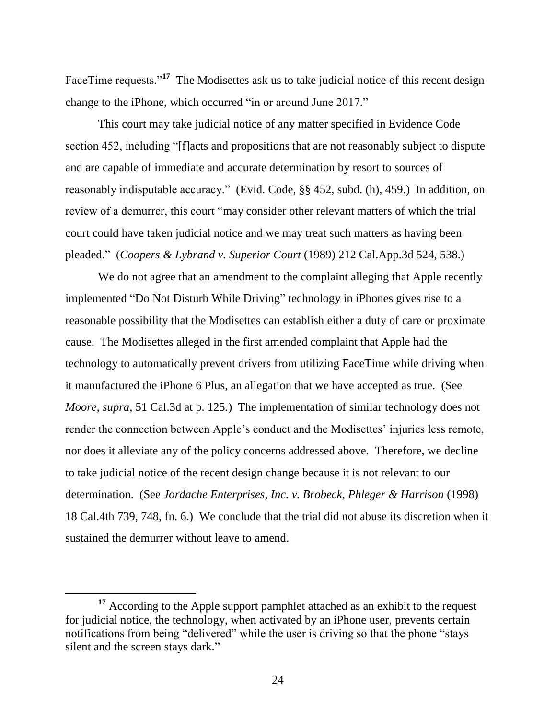FaceTime requests."<sup>17</sup> The Modisettes ask us to take judicial notice of this recent design change to the iPhone, which occurred "in or around June 2017."

This court may take judicial notice of any matter specified in Evidence Code section 452, including "[f]acts and propositions that are not reasonably subject to dispute and are capable of immediate and accurate determination by resort to sources of reasonably indisputable accuracy." (Evid. Code, §§ 452, subd. (h), 459.) In addition, on review of a demurrer, this court "may consider other relevant matters of which the trial court could have taken judicial notice and we may treat such matters as having been pleaded." (*Coopers & Lybrand v. Superior Court* (1989) 212 Cal.App.3d 524, 538.)

We do not agree that an amendment to the complaint alleging that Apple recently implemented "Do Not Disturb While Driving" technology in iPhones gives rise to a reasonable possibility that the Modisettes can establish either a duty of care or proximate cause. The Modisettes alleged in the first amended complaint that Apple had the technology to automatically prevent drivers from utilizing FaceTime while driving when it manufactured the iPhone 6 Plus, an allegation that we have accepted as true. (See *Moore*, *supra*, 51 Cal.3d at p. 125.) The implementation of similar technology does not render the connection between Apple's conduct and the Modisettes' injuries less remote, nor does it alleviate any of the policy concerns addressed above. Therefore, we decline to take judicial notice of the recent design change because it is not relevant to our determination. (See *Jordache Enterprises, Inc. v. Brobeck, Phleger & Harrison* (1998) 18 Cal.4th 739, 748, fn. 6.) We conclude that the trial did not abuse its discretion when it sustained the demurrer without leave to amend.

<sup>&</sup>lt;sup>17</sup> According to the Apple support pamphlet attached as an exhibit to the request for judicial notice, the technology, when activated by an iPhone user, prevents certain notifications from being "delivered" while the user is driving so that the phone "stays silent and the screen stays dark."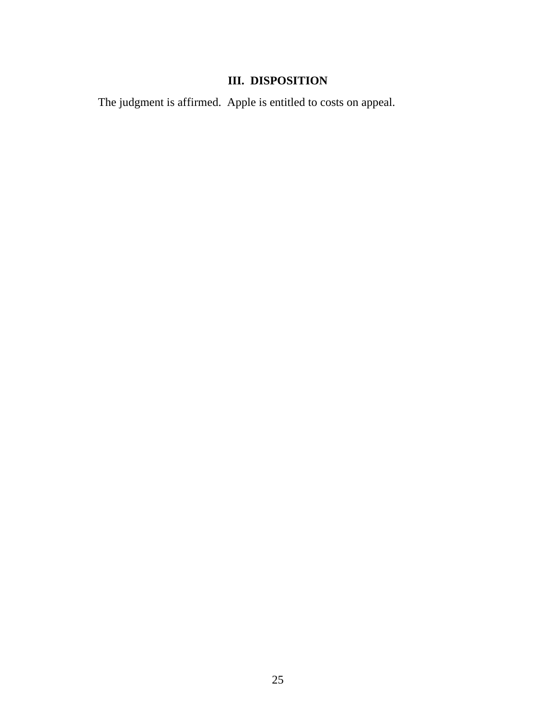# **III. DISPOSITION**

The judgment is affirmed. Apple is entitled to costs on appeal.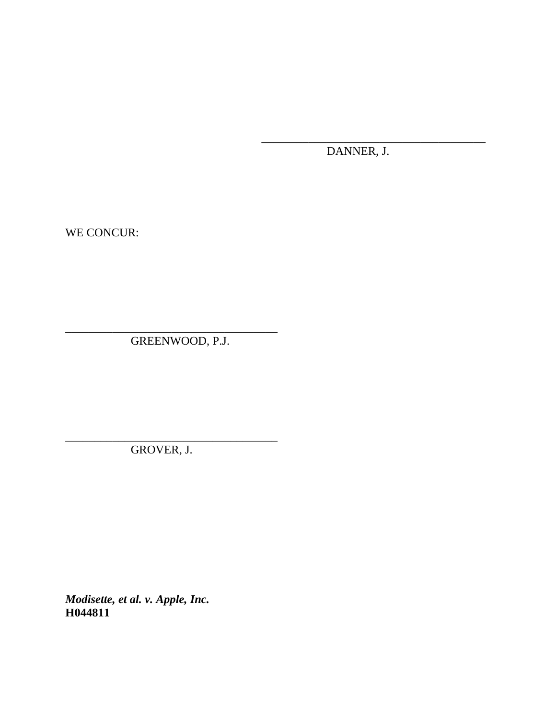DANNER, J.

\_\_\_\_\_\_\_\_\_\_\_\_\_\_\_\_\_\_\_\_\_\_\_\_\_\_\_\_\_\_\_\_\_\_\_\_\_\_

WE CONCUR:

GREENWOOD, P.J.

\_\_\_\_\_\_\_\_\_\_\_\_\_\_\_\_\_\_\_\_\_\_\_\_\_\_\_\_\_\_\_\_\_\_\_\_

\_\_\_\_\_\_\_\_\_\_\_\_\_\_\_\_\_\_\_\_\_\_\_\_\_\_\_\_\_\_\_\_\_\_\_\_ GROVER, J.

*Modisette, et al. v. Apple, Inc.* **H044811**